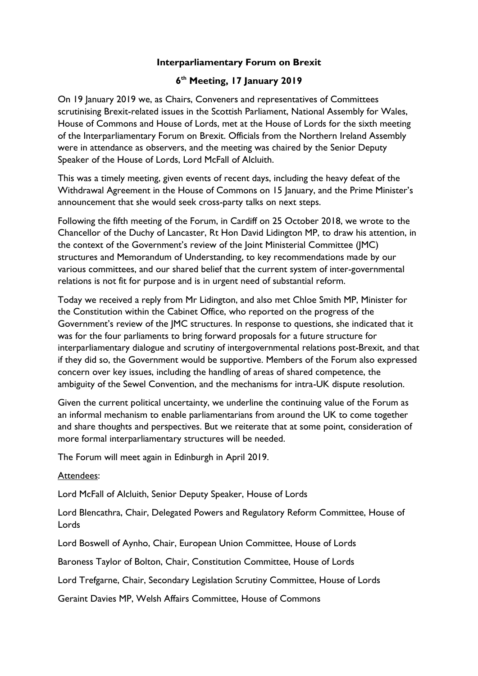## **Interparliamentary Forum on Brexit**

## **6 th Meeting, 17 January 2019**

On 19 January 2019 we, as Chairs, Conveners and representatives of Committees scrutinising Brexit-related issues in the Scottish Parliament, National Assembly for Wales, House of Commons and House of Lords, met at the House of Lords for the sixth meeting of the Interparliamentary Forum on Brexit. Officials from the Northern Ireland Assembly were in attendance as observers, and the meeting was chaired by the Senior Deputy Speaker of the House of Lords, Lord McFall of Alcluith.

This was a timely meeting, given events of recent days, including the heavy defeat of the Withdrawal Agreement in the House of Commons on 15 January, and the Prime Minister's announcement that she would seek cross-party talks on next steps.

Following the fifth meeting of the Forum, in Cardiff on 25 October 2018, we wrote to the Chancellor of the Duchy of Lancaster, Rt Hon David Lidington MP, to draw his attention, in the context of the Government's review of the Joint Ministerial Committee (JMC) structures and Memorandum of Understanding, to key recommendations made by our various committees, and our shared belief that the current system of inter-governmental relations is not fit for purpose and is in urgent need of substantial reform.

Today we received a reply from Mr Lidington, and also met Chloe Smith MP, Minister for the Constitution within the Cabinet Office, who reported on the progress of the Government's review of the JMC structures. In response to questions, she indicated that it was for the four parliaments to bring forward proposals for a future structure for interparliamentary dialogue and scrutiny of intergovernmental relations post-Brexit, and that if they did so, the Government would be supportive. Members of the Forum also expressed concern over key issues, including the handling of areas of shared competence, the ambiguity of the Sewel Convention, and the mechanisms for intra-UK dispute resolution.

Given the current political uncertainty, we underline the continuing value of the Forum as an informal mechanism to enable parliamentarians from around the UK to come together and share thoughts and perspectives. But we reiterate that at some point, consideration of more formal interparliamentary structures will be needed.

The Forum will meet again in Edinburgh in April 2019.

## Attendees:

Lord McFall of Alcluith, Senior Deputy Speaker, House of Lords

Lord Blencathra, Chair, Delegated Powers and Regulatory Reform Committee, House of Lords

Lord Boswell of Aynho, Chair, European Union Committee, House of Lords

Baroness Taylor of Bolton, Chair, Constitution Committee, House of Lords

Lord Trefgarne, Chair, Secondary Legislation Scrutiny Committee, House of Lords

Geraint Davies MP, Welsh Affairs Committee, House of Commons